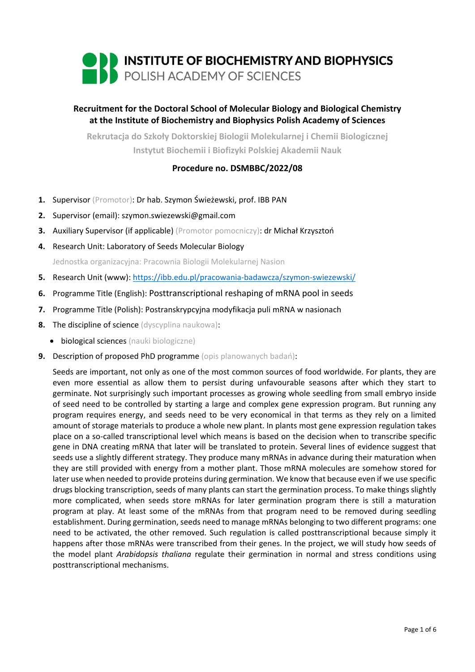

# **Recruitment for the Doctoral School of Molecular Biology and Biological Chemistry at the Institute of Biochemistry and Biophysics Polish Academy of Sciences**

**Rekrutacja do Szkoły Doktorskiej Biologii Molekularnej i Chemii Biologicznej Instytut Biochemii i Biofizyki Polskiej Akademii Nauk**

## **Procedure no. DSMBBC/2022/08**

- **1.** Supervisor (Promotor): Dr hab. Szymon Świeżewski, prof. IBB PAN
- **2.** Supervisor (email): szymon.swiezewski@gmail.com
- **3.** Auxiliary Supervisor (if applicable) (Promotor pomocniczy): dr Michał Krzysztoń
- **4.** Research Unit: Laboratory of Seeds Molecular Biology Jednostka organizacyjna: Pracownia Biologii Molekularnej Nasion
- **5.** Research Unit (www): <https://ibb.edu.pl/pracowania-badawcza/szymon-swiezewski/>
- **6.** Programme Title (English): Posttranscriptional reshaping of mRNA pool in seeds
- **7.** Programme Title (Polish): Postranskrypcyjna modyfikacja puli mRNA w nasionach
- **8.** The discipline of science (dyscyplina naukowa):
	- biological sciences (nauki biologiczne)
- **9.** Description of proposed PhD programme (opis planowanych badań):

Seeds are important, not only as one of the most common sources of food worldwide. For plants, they are even more essential as allow them to persist during unfavourable seasons after which they start to germinate. Not surprisingly such important processes as growing whole seedling from small embryo inside of seed need to be controlled by starting a large and complex gene expression program. But running any program requires energy, and seeds need to be very economical in that terms as they rely on a limited amount of storage materials to produce a whole new plant. In plants most gene expression regulation takes place on a so-called transcriptional level which means is based on the decision when to transcribe specific gene in DNA creating mRNA that later will be translated to protein. Several lines of evidence suggest that seeds use a slightly different strategy. They produce many mRNAs in advance during their maturation when they are still provided with energy from a mother plant. Those mRNA molecules are somehow stored for later use when needed to provide proteins during germination. We know that because even if we use specific drugs blocking transcription, seeds of many plants can start the germination process. To make things slightly more complicated, when seeds store mRNAs for later germination program there is still a maturation program at play. At least some of the mRNAs from that program need to be removed during seedling establishment. During germination, seeds need to manage mRNAs belonging to two different programs: one need to be activated, the other removed. Such regulation is called posttranscriptional because simply it happens after those mRNAs were transcribed from their genes. In the project, we will study how seeds of the model plant *Arabidopsis thaliana* regulate their germination in normal and stress conditions using posttranscriptional mechanisms.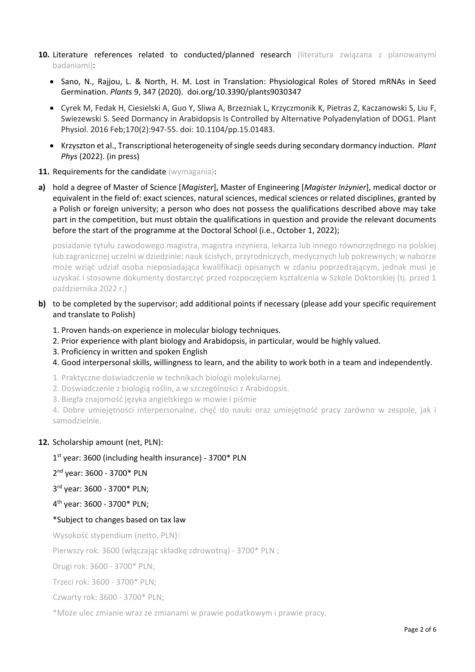- **10.** Literature references related to conducted/planned research (literatura związana z planowanymi badaniami):
	- Sano, N., Rajjou, L. & North, H. M. Lost in Translation: Physiological Roles of Stored mRNAs in Seed Germination. *Plants* 9, 347 (2020). doi.org/10.3390/plants9030347
	- Cyrek M, Fedak H, Ciesielski A, Guo Y, Sliwa A, Brzezniak L, Krzyczmonik K, Pietras Z, Kaczanowski S, Liu F, Swiezewski S. Seed Dormancy in Arabidopsis Is Controlled by Alternative Polyadenylation of DOG1. Plant Physiol. 2016 Feb;170(2):947-55. doi: 10.1104/pp.15.01483.
	- Krzyszton et al., Transcriptional heterogeneity of single seeds during secondary dormancy induction. *Plant Phys* (2022). (in press)
- **11. Requirements for the candidate (wymagania):**
- **a)** hold a degree of Master of Science [*Magister*], Master of Engineering [*Magister Inżynier*], medical doctor or equivalent in the field of: exact sciences, natural sciences, medical sciences or related disciplines, granted by a Polish or foreign university; a person who does not possess the qualifications described above may take part in the competition, but must obtain the qualifications in question and provide the relevant documents before the start of the programme at the Doctoral School (i.e., October 1, 2022);

posiadanie tytułu zawodowego magistra, magistra inżyniera, lekarza lub innego równorzędnego na polskiej lub zagranicznej uczelni w dziedzinie: nauk ścisłych, przyrodniczych, medycznych lub pokrewnych; w naborze może wziąć udział osoba nieposiadająca kwalifikacji opisanych w zdaniu poprzedzającym, jednak musi je uzyskać i stosowne dokumenty dostarczyć przed rozpoczęciem kształcenia w Szkole Doktorskiej (tj. przed 1 października 2022 r.)

- **b)** to be completed by the supervisor; add additional points if necessary (please add your specific requirement and translate to Polish)
	- 1. Proven hands-on experience in molecular biology techniques.
	- 2. Prior experience with plant biology and Arabidopsis, in particular, would be highly valued.
	- 3. Proficiency in written and spoken English
	- 4. Good interpersonal skills, willingness to learn, and the ability to work both in a team and independently.
	- 1. Praktyczne doświadczenie w technikach biologii molekularnej.
	- 2. Doświadczenie z biologią roślin, a w szczególności z Arabidopsis.
	- 3. Biegła znajomość języka angielskiego w mowie i piśmie

4. Dobre umiejętności interpersonalne, chęć do nauki oraz umiejętność pracy zarówno w zespole, jak i samodzielnie.

## **12.** Scholarship amount (net, PLN):

1 st year: 3600 (including health insurance) - 3700\* PLN

2 nd year: 3600 - 3700\* PLN

3 rd year: 3600 - 3700\* PLN;

4 th year: 3600 - 3700\* PLN;

### \*Subject to changes based on tax law

Wysokość stypendium (netto, PLN):

Pierwszy rok: 3600 (włączając składkę zdrowotną) - 3700\* PLN ;

Drugi rok: 3600 - 3700\* PLN;

Trzeci rok: 3600 - 3700\* PLN;

Czwarty rok: 3600 - 3700\* PLN;

\*Może ulec zmianie wraz ze zmianami w prawie podatkowym i prawie pracy.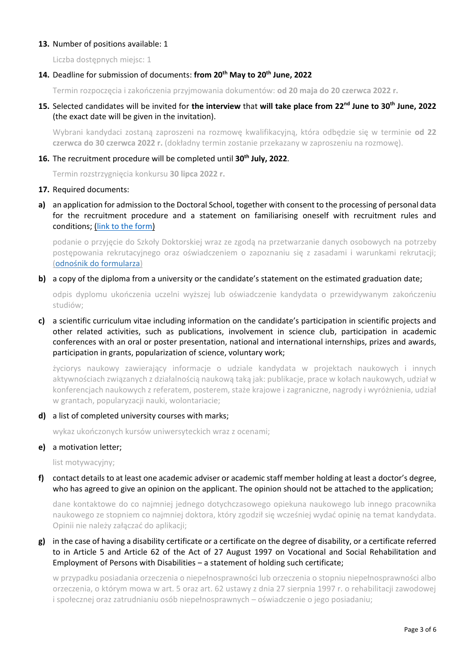### **13.** Number of positions available: 1

Liczba dostępnych miejsc: 1

## **14.** Deadline for submission of documents: **from 20th May to 20th June, 2022**

Termin rozpoczęcia i zakończenia przyjmowania dokumentów: **od 20 maja do 20 czerwca 2022 r.** 

**15.** Selected candidates will be invited for **the interview** that **will take place from 22nd June to 30th June, 2022** (the exact date will be given in the invitation).

Wybrani kandydaci zostaną zaproszeni na rozmowę kwalifikacyjną, która odbędzie się w terminie **od 22 czerwca do 30 czerwca 2022 r.** (dokładny termin zostanie przekazany w zaproszeniu na rozmowę).

## **16.** The recruitment procedure will be completed until **30th July, 2022**.

Termin rozstrzygnięcia konkursu **30 lipca 2022 r.**

### 17. Required documents:

**a)** an application for admission to the Doctoral School, together with consent to the processing of personal data for the recruitment procedure and a statement on familiarising oneself with recruitment rules and conditions; [\(link to the form\)](https://ibb.edu.pl/app/uploads/2022/05/application-form_doctoralschool_ibb-pas.docx)

podanie o przyjęcie do Szkoły Doktorskiej wraz ze zgodą na przetwarzanie danych osobowych na potrzeby postępowania rekrutacyjnego oraz oświadczeniem o zapoznaniu się z zasadami i warunkami rekrutacji; ([odnośnik do formularza](https://ibb.edu.pl/app/uploads/2022/05/application-form_doctoralschool_ibb-pas.docx))

#### **b)** a copy of the diploma from a university or the candidate's statement on the estimated graduation date;

odpis dyplomu ukończenia uczelni wyższej lub oświadczenie kandydata o przewidywanym zakończeniu studiów;

**c)** a scientific curriculum vitae including information on the candidate's participation in scientific projects and other related activities, such as publications, involvement in science club, participation in academic conferences with an oral or poster presentation, national and international internships, prizes and awards, participation in grants, popularization of science, voluntary work;

życiorys naukowy zawierający informacje o udziale kandydata w projektach naukowych i innych aktywnościach związanych z działalnością naukową taką jak: publikacje, prace w kołach naukowych, udział w konferencjach naukowych z referatem, posterem, staże krajowe i zagraniczne, nagrody i wyróżnienia, udział w grantach, popularyzacji nauki, wolontariacie;

### **d)** a list of completed university courses with marks;

wykaz ukończonych kursów uniwersyteckich wraz z ocenami;

### **e)** a motivation letter;

list motywacyjny;

**f)** contact details to at least one academic adviser or academic staff member holding at least a doctor's degree, who has agreed to give an opinion on the applicant. The opinion should not be attached to the application;

dane kontaktowe do co najmniej jednego dotychczasowego opiekuna naukowego lub innego pracownika naukowego ze stopniem co najmniej doktora, który zgodził się wcześniej wydać opinię na temat kandydata. Opinii nie należy załączać do aplikacji;

**g)** in the case of having a disability certificate or a certificate on the degree of disability, or a certificate referred to in Article 5 and Article 62 of the Act of 27 August 1997 on Vocational and Social Rehabilitation and Employment of Persons with Disabilities - a statement of holding such certificate;

w przypadku posiadania orzeczenia o niepełnosprawności lub orzeczenia o stopniu niepełnosprawności albo orzeczenia, o którym mowa w art. 5 oraz art. 62 ustawy z dnia 27 sierpnia 1997 r. o rehabilitacji zawodowej i społecznej oraz zatrudnianiu osób niepełnosprawnych – oświadczenie o jego posiadaniu;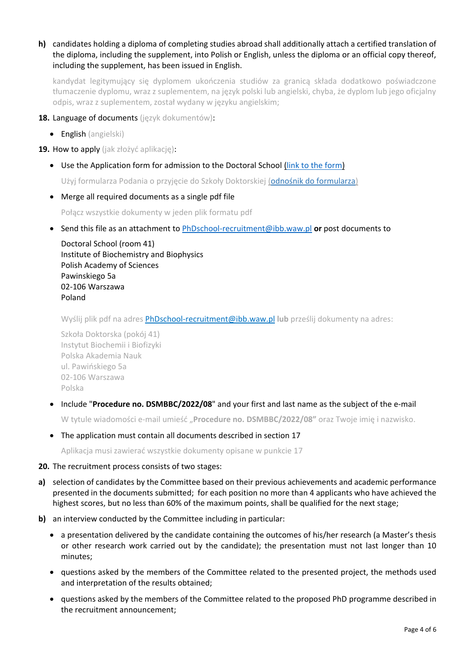## **h)** candidates holding a diploma of completing studies abroad shall additionally attach a certified translation of the diploma, including the supplement, into Polish or English, unless the diploma or an official copy thereof, including the supplement, has been issued in English.

kandydat legitymujący się dyplomem ukończenia studiów za granicą składa dodatkowo poświadczone tłumaczenie dyplomu, wraz z suplementem, na język polski lub angielski, chyba, że dyplom lub jego oficjalny odpis, wraz z suplementem, został wydany w języku angielskim;

- **18.** Language of documents (język dokumentów):
	- English (angielski)

**19.** How to apply (jak złożyć aplikację):

• Use the Application form for admission to the Doctoral School [\(link to the form\)](https://ibb.edu.pl/app/uploads/2022/05/application-form_doctoralschool_ibb-pas.docx)

Użyj formularza Podania o przyjęcie do Szkoły Doktorskiej ([odnośnik do formularza](https://ibb.edu.pl/app/uploads/2022/05/application-form_doctoralschool_ibb-pas.docx))

• Merge all required documents as a single pdf file

Połącz wszystkie dokumenty w jeden plik formatu pdf

• Send this file as an attachment to [PhDschool-recruitment@ibb.waw.pl](mailto:PhDschool-recruitment@ibb.waw.pl) **or** post documents to

Doctoral School (room 41) Institute of Biochemistry and Biophysics Polish Academy of Sciences Pawinskiego 5a 02-106 Warszawa Poland

Wyślij plik pdf na adres [PhDschool-recruitment@ibb.waw.pl](mailto:PhDschool-recruitment@ibb.waw.pl) **lub** prześlij dokumenty na adres:

Szkoła Doktorska (pokój 41) Instytut Biochemii i Biofizyki Polska Akademia Nauk ul. Pawińskiego 5a 02-106 Warszawa Polska

• Include "**Procedure no. DSMBBC/2022/08**" and your first and last name as the subject of the e-mail

W tytule wiadomości e-mail umieść "**Procedure no. DSMBBC/2022/08"** oraz Twoje imię i nazwisko.

• The application must contain all documents described in section 17

Aplikacja musi zawierać wszystkie dokumenty opisane w punkcie 17

#### **20.** The recruitment process consists of two stages:

- **a)** selection of candidates by the Committee based on their previous achievements and academic performance presented in the documents submitted; for each position no more than 4 applicants who have achieved the highest scores, but no less than 60% of the maximum points, shall be qualified for the next stage;
- **b)** an interview conducted by the Committee including in particular:
	- a presentation delivered by the candidate containing the outcomes of his/her research (a Master's thesis or other research work carried out by the candidate); the presentation must not last longer than 10 minutes;
	- questions asked by the members of the Committee related to the presented project, the methods used and interpretation of the results obtained;
	- questions asked by the members of the Committee related to the proposed PhD programme described in the recruitment announcement;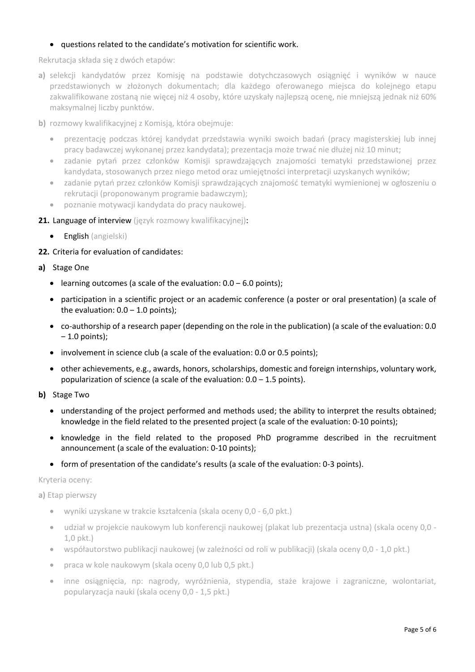### • questions related to the candidate's motivation for scientific work.

Rekrutacja składa się z dwóch etapów:

- **a)** selekcji kandydatów przez Komisję na podstawie dotychczasowych osiągnięć i wyników w nauce przedstawionych w złożonych dokumentach; dla każdego oferowanego miejsca do kolejnego etapu zakwalifikowane zostaną nie więcej niż 4 osoby, które uzyskały najlepszą ocenę, nie mniejszą jednak niż 60% maksymalnej liczby punktów.
- **b)** rozmowy kwalifikacyjnej z Komisją, która obejmuje:
	- prezentację podczas której kandydat przedstawia wyniki swoich badań (pracy magisterskiej lub innej pracy badawczej wykonanej przez kandydata); prezentacja może trwać nie dłużej niż 10 minut;
	- zadanie pytań przez członków Komisji sprawdzających znajomości tematyki przedstawionej przez kandydata, stosowanych przez niego metod oraz umiejętności interpretacji uzyskanych wyników;
	- zadanie pytań przez członków Komisji sprawdzających znajomość tematyki wymienionej w ogłoszeniu o rekrutacji (proponowanym programie badawczym);
	- poznanie motywacji kandydata do pracy naukowej.

### 21. Language of interview (język rozmowy kwalifikacyjnej):

• English (angielski)

### **22.** Criteria for evaluation of candidates:

- **a)** Stage One
	- learning outcomes (a scale of the evaluation:  $0.0 6.0$  points);
	- participation in a scientific project or an academic conference (a poster or oral presentation) (a scale of the evaluation:  $0.0 - 1.0$  points);
	- co-authorship of a research paper (depending on the role in the publication) (a scale of the evaluation: 0.0  $-1.0$  points);
	- involvement in science club (a scale of the evaluation: 0.0 or 0.5 points);
	- other achievements, e.g., awards, honors, scholarships, domestic and foreign internships, voluntary work, popularization of science (a scale of the evaluation:  $0.0 - 1.5$  points).
- **b)** Stage Two
	- understanding of the project performed and methods used; the ability to interpret the results obtained; knowledge in the field related to the presented project (a scale of the evaluation: 0-10 points);
	- knowledge in the field related to the proposed PhD programme described in the recruitment announcement (a scale of the evaluation: 0-10 points);
	- form of presentation of the candidate's results (a scale of the evaluation: 0-3 points).

Kryteria oceny:

**a)** Etap pierwszy

- wyniki uzyskane w trakcie kształcenia (skala oceny 0,0 6,0 pkt.)
- udział w projekcie naukowym lub konferencji naukowej (plakat lub prezentacja ustna) (skala oceny 0,0 1,0 pkt.)
- współautorstwo publikacji naukowej (w zależności od roli w publikacji) (skala oceny 0,0 1,0 pkt.)
- praca w kole naukowym (skala oceny 0,0 lub 0,5 pkt.)
- inne osiągnięcia, np: nagrody, wyróżnienia, stypendia, staże krajowe i zagraniczne, wolontariat, popularyzacja nauki (skala oceny 0,0 - 1,5 pkt.)